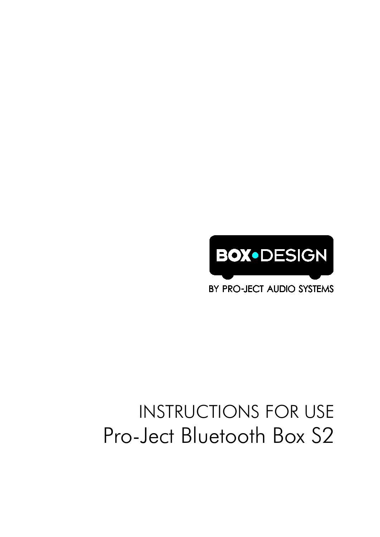

BY PRO-JECT AUDIO SYSTEMS

# INSTRUCTIONS FOR USE Pro-Ject Bluetooth Box S2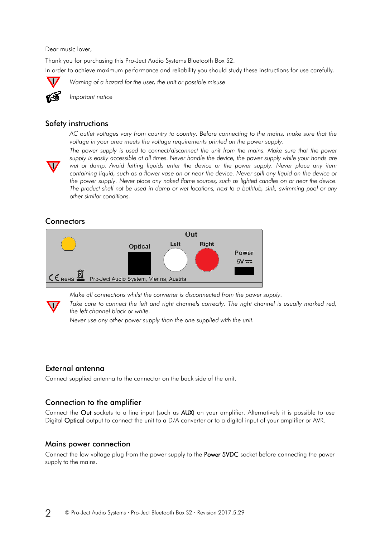Dear music lover,

Thank you for purchasing this Pro-Ject Audio Systems Bluetooth Box S2. In order to achieve maximum performance and reliability you should study these instructions for use carefully.



*Warning of a hazard for the user, the unit or possible misuse*



*Important notice* 

#### Safety instructions

*AC outlet voltages vary from country to country. Before connecting to the mains, make sure that the voltage in your area meets the voltage requirements printed on the power supply.*



The power supply is used to connect/disconnect the unit from the mains. Make sure that the power *supply is easily accessible at all times. Never handle the device, the power supply while your hands are wet or damp. Avoid letting liquids enter the device or the power supply. Never place any item containing liquid, such as a flower vase on or near the device. Never spill any liquid on the device or the power supply. Never place any naked flame sources, such as lighted candles on or near the device. The product shall not be used in damp or wet locations, next to a bathtub, sink, swimming pool or any other similar conditions.*

# **Connectors**



*Make all connections whilst the converter is disconnected from the power supply.*

*Take care to connect the left and right channels correctly. The right channel is usually marked red, the left channel black or white.*

*Never use any other power supply than the one supplied with the unit.*

# External antenna

Connect supplied antenna to the connector on the back side of the unit.

# Connection to the amplifier

Connect the Out sockets to a line input (such as AUX) on your amplifier. Alternatively it is possible to use Digital Optical output to connect the unit to a D/A converter or to a digital input of your amplifier or AVR.

#### Mains power connection

Connect the low voltage plug from the power supply to the Power 5VDC socket before connecting the power supply to the mains.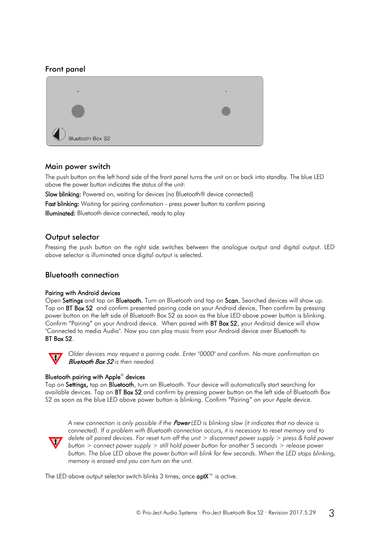# Front panel



### Main power switch

The push button on the left hand side of the front panel turns the unit on or back into standby. The blue LED above the power button indicates the status of the unit:

Slow blinking: Powered on, waiting for devices (no Bluetooth® device connected)

Fast blinking: Waiting for pairing confirmation - press power button to confirm pairing Illuminated: Bluetooth device connected, ready to play

# Output selector

Pressing the push button on the right side switches between the analogue output and digital output. LED above selector is illuminated once digital output is selected.

#### Bluetooth connection

#### Pairing with Android devices

Open Settings and tap on Bluetooth. Turn on Bluetooth and tap on Scan. Searched devices will show up. Tap on BT Box S2 and confirm presented pairing code on your Android device. Then confirm by pressing power button on the left side of Bluetooth Box S2 as soon as the blue LED above power button is blinking. Confirm "Pairing" on your Android device. When paired with BT Box S2, your Android device will show "Connected to media Audio". Now you can play music from your Android device over Bluetooth to BT Box S2.



*Older devices may request a pairing code. Enter "0000" and confirm. No more confirmation on*  Bluetooth Box S2 *is then needed.*

#### Bluetooth pairing with Apple® devices

Tap on Settings, tap on Bluetooth, turn on Bluetooth. Your device will automatically start searching for available devices. Tap on BT Box S2 and confirm by pressing power button on the left side of Bluetooth Box S2 as soon as the blue LED above power button is blinking. Confirm "Pairing" on your Apple device.



*A new connection is only possible if the* Power *LED is blinking slow (it indicates that no device is connected). If a problem with Bluetooth connection occurs, it is necessary to reset memory and to delete all paired devices. For reset turn off the unit > disconnect power supply > press & hold power button > connect power supply > still hold power button for another 5 seconds > release power button. The blue LED above the power button will blink for few seconds. When the LED stops blinking, memory is erased and you can turn on the unit.*

The LED above output selector switch blinks 3 times, once  $\alpha$ ptX<sup>™</sup> is active.